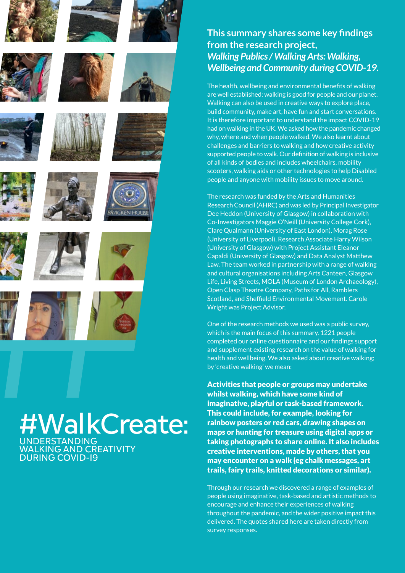

# **This summary shares some key findings from the research project,**  *Walking Publics / Walking Arts: Walking, Wellbeing and Community during COVID-19.*

The health, wellbeing and environmental benefits of walking are well established: walking is good for people and our planet. Walking can also be used in creative ways to explore place, build community, make art, have fun and start conversations. It is therefore important to understand the impact COVID-19 had on walking in the UK. We asked how the pandemic changed why, where and when people walked. We also learnt about challenges and barriers to walking and how creative activity supported people to walk. Our definition of walking is inclusive of all kinds of bodies and includes wheelchairs, mobility scooters, walking aids or other technologies to help Disabled people and anyone with mobility issues to move around.

The research was funded by the Arts and Humanities Research Council (AHRC) and was led by Principal Investigator Dee Heddon (University of Glasgow) in collaboration with Co-Investigators Maggie O'Neill (University College Cork), Clare Qualmann (University of East London), Morag Rose (University of Liverpool), Research Associate Harry Wilson (University of Glasgow) with Project Assistant Eleanor Capaldi (University of Glasgow) and Data Analyst Matthew Law. The team worked in partnership with a range of walking and cultural organisations including Arts Canteen, Glasgow Life, Living Streets, MOLA (Museum of London Archaeology), Open Clasp Theatre Company, Paths for All, Ramblers Scotland, and Sheffield Environmental Movement. Carole Wright was Project Advisor.

One of the research methods we used was a public survey, which is the main focus of this summary. 1221 people completed our online questionnaire and our findings support and supplement existing research on the value of walking for health and wellbeing. We also asked about creative walking; by 'creative walking' we mean:

Activities that people or groups may undertake whilst walking, which have some kind of imaginative, playful or task-based framework. This could include, for example, looking for rainbow posters or red cars, drawing shapes on maps or hunting for treasure using digital apps or taking photographs to share online. It also includes creative interventions, made by others, that you may encounter on a walk (eg chalk messages, art trails, fairy trails, knitted decorations or similar).

Through our research we discovered a range of examples of people using imaginative, task-based and artistic methods to encourage and enhance their experiences of walking throughout the pandemic, and the wider positive impact this delivered. The quotes shared here are taken directly from survey responses.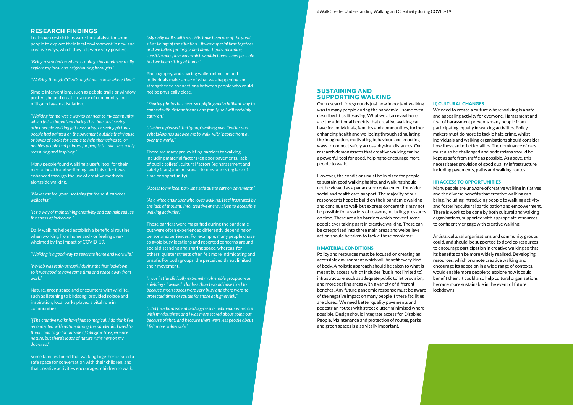## **RESEARCH FINDINGS**

Lockdown restrictions were the catalyst for some people to explore their local environment in new and creative ways, which they felt were very positive.

*"Being restricted on where I could go has made me really explore my local and neighbouring boroughs."*

*"Walking through COVID taught me to love where I live."*

Simple interventions, such as pebble trails or window posters, helped create a sense of community and mitigated against isolation.

*"Walking for me was a way to connect to my community which felt so important during this time. Just seeing other people walking felt reassuring, or seeing pictures people had painted on the pavement outside their house or boxes of books for people to help themselves to, or pebbles people had painted for people to take, was really reassuring and inspiring."* 

Many people found walking a useful tool for their mental health and wellbeing, and this effect was enhanced through the use of creative methods alongside walking.

*"Makes me feel good, soothing for the soul, enriches wellbeing."*

*"It's a way of maintaining creativity and can help reduce the stress of lockdown."* 

Daily walking helped establish a beneficial routine when working from home and / or feeling overwhelmed by the impact of COVID-19.

*"Walking is a good way to separate home and work life."*

*"My job was really stressful during the first lockdown so it was good to have some time and space away from work."*

Nature, green space and encounters with wildlife, such as listening to birdsong, provided solace and inspiration; local parks played a vital role in communities.

*"[The creative walks have] felt so magical! I do think I've reconnected with nature during the pandemic. I used to think I had to go far outside of Glasgow to experience nature, but there's loads of nature right here on my doorstep."*

Some families found that walking together created a safe space for conversation with their children, and that creative activities encouraged children to walk.

*"My daily walks with my child have been one of the great silver linings of the situation – it was a special time together and we talked for longer and about topics, including sensitive ones, in a way which wouldn't have been possible had we been sitting at home."*

Photography, and sharing walks online, helped individuals make sense of what was happening and strengthened connections between people who could not be physically close.

*"Sharing photos has been so uplifting and a brilliant way to connect with distant friends and family, so I will certainly carry on."*

*"I've been pleased that 'group' walking over Twitter and WhatsApp has allowed me to walk 'with' people from all over the world."*

There are many pre-existing barriers to walking, including material factors (eg poor pavements, lack of public toilets), cultural factors (eg harassment and safety fears) and personal circumstances (eg lack of time or opportunity).

*"Access to my local park isn't safe due to cars on pavements."*

*"As a wheelchair user who loves walking, I feel frustrated by the lack of thought, info, creative energy given to accessible walking activities."*

These barriers were magnified during the pandemic but were often experienced differently depending on personal experiences. For example, many people chose to avoid busy locations and reported concerns around social distancing and sharing space, whereas, for others, quieter streets often felt more intimidating and unsafe. For both groups, the perceived threat limited their movement.

*"I was in the clinically extremely vulnerable group so was shielding - I walked a lot less than I would have liked to because green spaces were very busy and there were no protected times or routes for those at higher risk."*

*"I did face harassment and aggressive behaviour when out with my daughter, and I was more scared about going out because of that, and because there were less people about I felt more vulnerable."*

### **SUSTAINING AND SUPPORTING WALKING**

Our research foregrounds just how important walking was to many people during the pandemic – some even described it as lifesaving. What we also reveal here are the additional benefits that creative walking can have for individuals, families and communities, further enhancing health and wellbeing through stimulating the imagination, motivating behaviour, and enacting ways to connect safely across physical distances. Our research demonstrates that creative walking can be a powerful tool for good, helping to encourage more people to walk.

However, the conditions must be in place for people to sustain good walking habits, and walking should not be viewed as a panacea or replacement for wider social and health care support. The majority of our respondents hope to build on their pandemic walking and continue to walk but express concern this may not be possible for a variety of reasons, including pressures on time. There are also barriers which prevent some people ever taking part in creative walking. These can be categorised into three main areas and we believe action should be taken to tackle these problems:

#### I) MATERIAL CONDITIONS

Policy and resources must be focused on creating an accessible environment which will benefit every kind of body. A holistic approach should be taken to what is meant by access, which includes (but is not limited to) infrastructure, such as adequate public toilet provision, and more seating areas with a variety of different benches. Any future pandemic response must be aware of the negative impact on many people if these facilities are closed. We need better quality pavements and pedestrian routes with street clutter minimised where possible. Design should integrate access for Disabled People. Maintenance and protection of routes, parks and green spaces is also vitally important.

#### II) CULTURAL CHANGES

We need to create a culture where walking is a safe and appealing activity for everyone. Harassment and fear of harassment prevents many people from participating equally in walking activities. Policy makers must do more to tackle hate crime, whilst individuals and walking organisations should consider how they can be better allies. The dominance of cars must also be challenged and pedestrians should be kept as safe from traffic as possible. As above, this necessitates provision of good quality infrastructure including pavements, paths and walking routes.

#### III) ACCESS TO OPPORTUNITIES

Many people are unaware of creative walking initiatives and the diverse benefits that creative walking can bring, including introducing people to walking activity and fostering cultural participation and empowerment. There is work to be done by both cultural and walking organisations, supported with appropriate resources, to confidently engage with creative walking.

Artists, cultural organisations and community groups could, and should, be supported to develop resources to encourage participation in creative walking so that its benefits can be more widely realised. Developing resources, which promote creative walking and encourage its adoption in a wide range of contexts, would enable more people to explore how it could benefit them. It could also help cultural organisations become more sustainable in the event of future lockdowns.